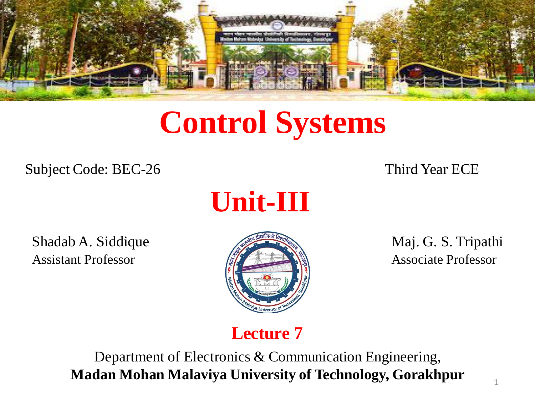

# **Control Systems**

Subject Code: BEC-26 Third Year ECE



Shadab A. Siddique Maj. G. S. Tripathi Assistant Professor **Associate Professor** Associate Professor



## **Lecture 7**

Department of Electronics & Communication Engineering, **Madan Mohan Malaviya University of Technology, Gorakhpur**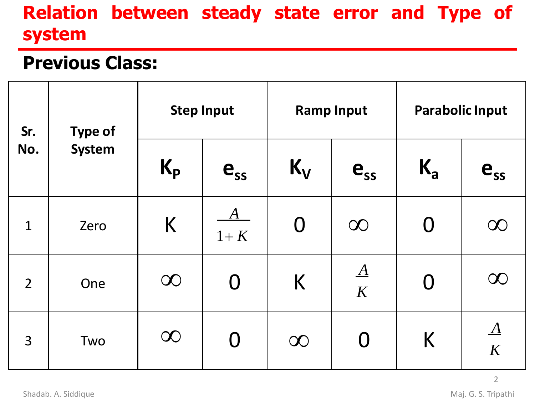# **Relation between steady state error and Type of system**

## **Previous Class:**

| Sr.<br>No.     | <b>Type of</b><br><b>System</b> | <b>Step Input</b> |                     | <b>Ramp Input</b> |                | <b>Parabolic Input</b> |                      |
|----------------|---------------------------------|-------------------|---------------------|-------------------|----------------|------------------------|----------------------|
|                |                                 | $K_{p}$           | $e_{ss}$            | $K_{V}$           | $e_{ss}$       | $K_{a}$                | $e_{ss}$             |
| $\mathbf 1$    | Zero                            | K                 | $\bm{A}$<br>$1 + K$ | $\bm{\mathsf{O}}$ | $\infty$       | $\bf{0}$               | $\infty$             |
| $\overline{2}$ | One                             | $\infty$          | $\boldsymbol{0}$    | K                 | $\Delta$<br>K  | $\bf{0}$               | $\infty$             |
| 3              | Two                             | $\infty$          | $\bf{0}$            | $\infty$          | $\overline{0}$ | K                      | $\underline{A}$<br>K |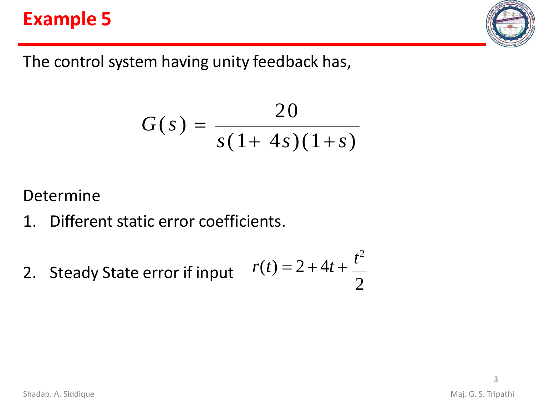# **Example 5**



The control system having unity feedback has,

$$
G(s) = \frac{20}{s(1+4s)(1+s)}
$$

#### Determine

- 1. Different static error coefficients.
- 2. Steady State error if input *t* 2  $r(t) = 2 + 4t +$ 2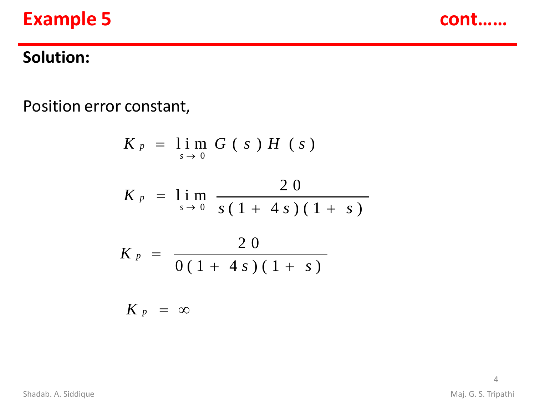# **Example 5 cont……**



## **Solution:**

Position error constant,

$$
K_{p} = \lim_{s \to 0} G(s) H(s)
$$
  
\n
$$
K_{p} = \lim_{s \to 0} \frac{20}{s(1 + 4s)(1 + s)}
$$
  
\n
$$
K_{p} = \frac{20}{0(1 + 4s)(1 + s)}
$$
  
\n
$$
K_{p} = \infty
$$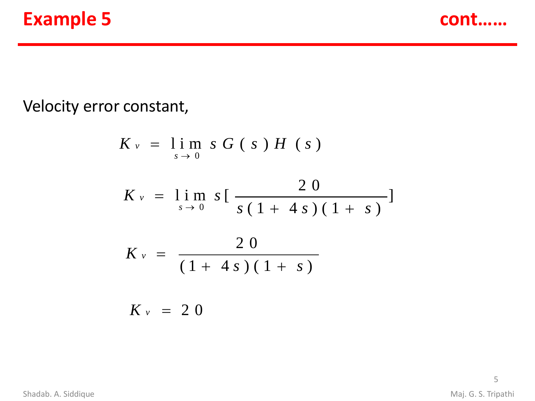



#### Velocity error constant,

$$
K_v = \lim_{s \to 0} s G(s) H(s)
$$
  
\n
$$
K_v = \lim_{s \to 0} s \left[ \frac{20}{s(1 + 4s)(1 + s)} \right]
$$
  
\n
$$
K_v = \frac{20}{(1 + 4s)(1 + s)}
$$
  
\n
$$
K_v = 20
$$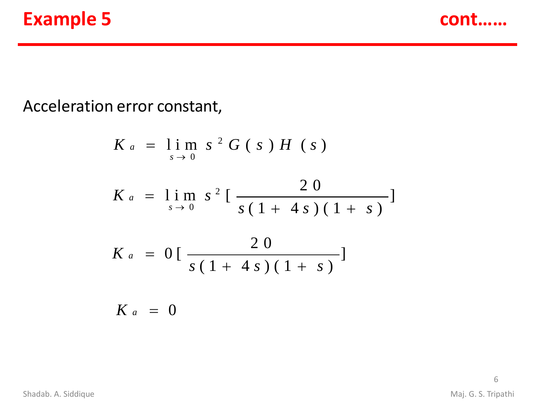# **Example 5 cont……**



#### Acceleration error constant,

$$
K_{a} = \lim_{s \to 0} s^{2} G(s) H(s)
$$
  
\n
$$
K_{a} = \lim_{s \to 0} s^{2} \left[ \frac{20}{s(1 + 4s)(1 + s)} \right]
$$
  
\n
$$
K_{a} = 0 \left[ \frac{20}{s(1 + 4s)(1 + s)} \right]
$$
  
\n
$$
K_{a} = 0
$$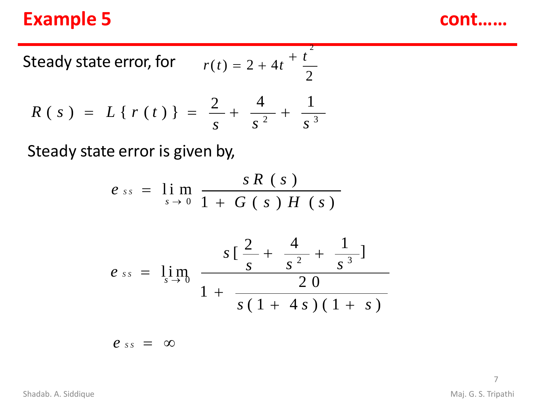# **Example 5 cont……**

Steady state error, for 
$$
r(t) = 2 + 4t + \frac{t^2}{2}
$$
  
\n
$$
R(s) = L\{r(t)\} = \frac{2}{s} + \frac{4}{s^2} + \frac{1}{s^3}
$$

Steady state error is given by,

$$
e_{ss} = \lim_{s \to 0} \frac{sR(s)}{1 + G(s)H(s)}
$$

$$
e_{ss} = \lim_{s \to 0} \frac{s \left[ \frac{2}{s} + \frac{4}{s^2} + \frac{1}{s^3} \right]}{1 + \frac{20}{s \left( 1 + 4s \right) \left( 1 + s \right)}}
$$

 $e_{ss} = \infty$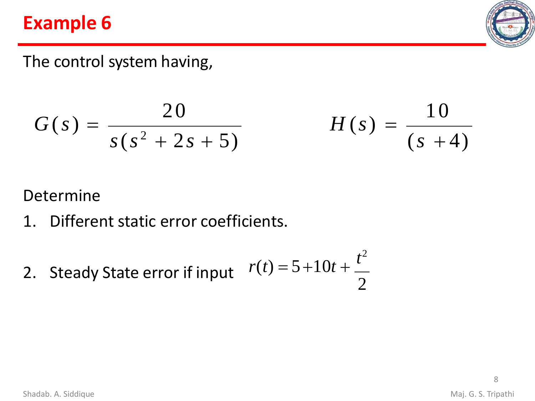# **Example 6**



## The control system having,

$$
G(s) = \frac{20}{s(s^2 + 2s + 5)}
$$
  $H(s) = \frac{10}{(s + 4)}$ 

#### Determine

- 1. Different static error coefficients.
- 2. Steady State error if input *t* 2  $r(t) = 5 + 10t +$ 2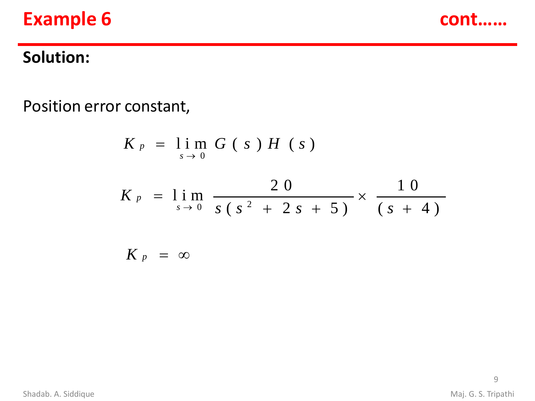# **Example 6 cont cont**



## **Solution:**

Position error constant,

$$
K_{p} = \lim_{s \to 0} G(s) H(s)
$$
  
\n
$$
K_{p} = \lim_{s \to 0} \frac{20}{s(s^{2} + 2s + 5)} \times \frac{10}{(s + 4)}
$$
  
\n
$$
K_{p} = \infty
$$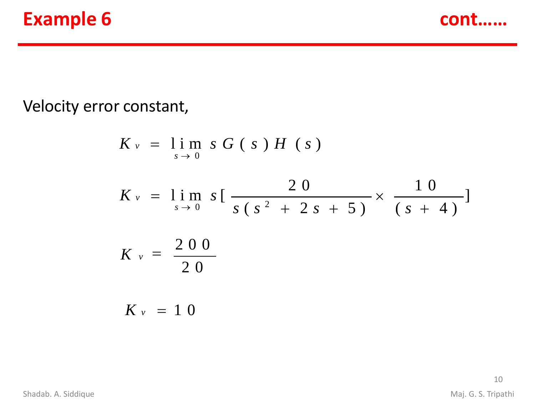

#### Velocity error constant,

$$
K_v = \lim_{s \to 0} s G(s) H(s)
$$
  
\n
$$
K_v = \lim_{s \to 0} s \left[ \frac{20}{s (s^2 + 2s + 5)} \times \frac{10}{(s + 4)} \right]
$$
  
\n
$$
K_v = \frac{200}{20}
$$
  
\n
$$
K_v = 10
$$

10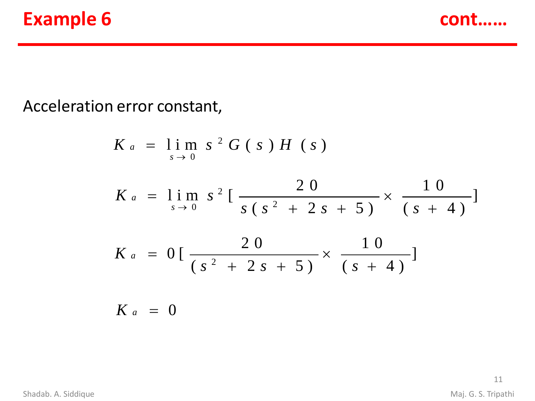# **Example 6 cont cont**



#### Acceleration error constant,

$$
K_a = \lim_{s \to 0} s^2 G(s) H(s)
$$
  
\n
$$
K_a = \lim_{s \to 0} s^2 \left[ \frac{20}{s(s^2 + 2s + 5)} \times \frac{10}{(s + 4)} \right]
$$
  
\n
$$
K_a = 0 \left[ \frac{20}{(s^2 + 2s + 5)} \times \frac{10}{(s + 4)} \right]
$$
  
\n
$$
K_a = 0
$$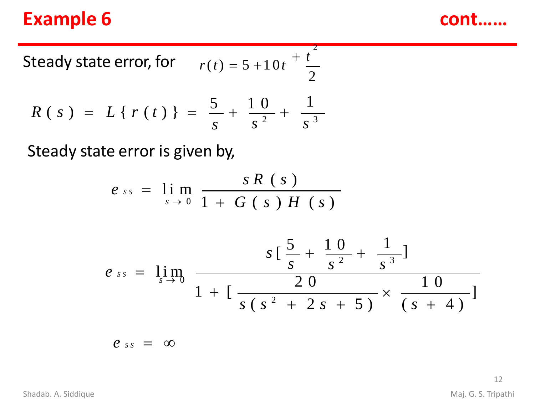# **Example 6 cont cont**

Steady state error, for 
$$
r(t) = 5 + 10t + \frac{t^2}{2}
$$
  

$$
R(s) = L\{r(t)\} = \frac{5}{s} + \frac{10}{s^2} + \frac{1}{s^3}
$$

Steady state error is given by,

$$
e_{ss} = \lim_{s \to 0} \frac{sR(s)}{1 + G(s)H(s)}
$$

$$
e_{ss} = \lim_{s \to 0} \frac{s \left[ \frac{5}{s} + \frac{10}{s^2} + \frac{1}{s^3} \right]}{1 + \left[ \frac{20}{s \left( s^2 + 2s + 5 \right)} \times \frac{10}{\left( s + 4 \right)} \right]}
$$

$$
e_{ss} = \infty
$$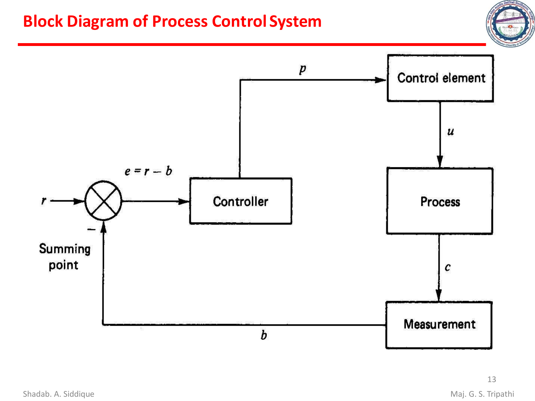## **Block Diagram of Process Control System**



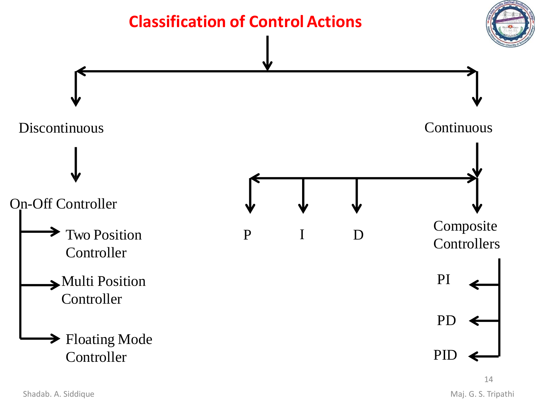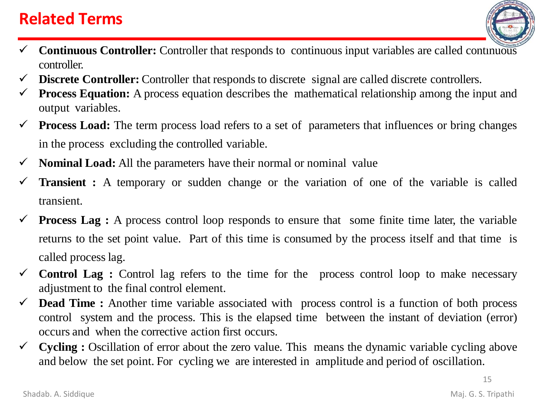## **Related Terms**

- 
- ✓ **Continuous Controller:** Controller that responds to continuous input variables are called continuous controller.
- $\checkmark$  **Discrete Controller:** Controller that responds to discrete signal are called discrete controllers.
- ✓ **Process Equation:** A process equation describes the mathematical relationship among the input and output variables.
- ✓ **Process Load:** The term process load refers to a set of parameters that influences or bring changes in the process excluding the controlled variable.
- ✓ **Nominal Load:** All the parameters have their normal or nominal value
- **Transient :** A temporary or sudden change or the variation of one of the variable is called transient.
- $\checkmark$  **Process Lag** : A process control loop responds to ensure that some finite time later, the variable returns to the set point value. Part of this time is consumed by the process itself and that time is called processlag.
- $\checkmark$  **Control Lag** : Control lag refers to the time for the process control loop to make necessary adjustment to the final control element.
- ✓ **Dead Time :** Another time variable associated with process control is a function of both process control system and the process. This is the elapsed time between the instant of deviation (error) occurs and when the corrective action first occurs.
- $\checkmark$  **Cycling** : Oscillation of error about the zero value. This means the dynamic variable cycling above and below the set point. For cycling we are interested in amplitude and period of oscillation.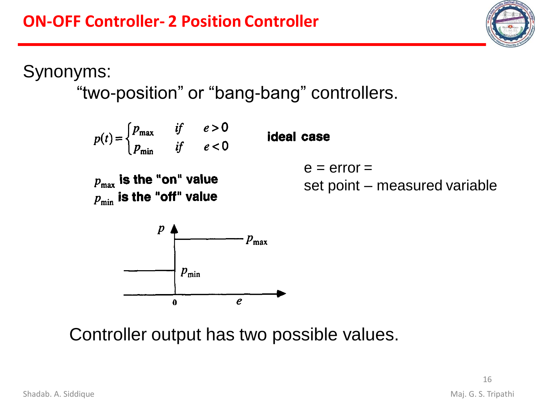Synonyms:

"two-position" or "bang-bang" controllers.



Controller output has two possible values.